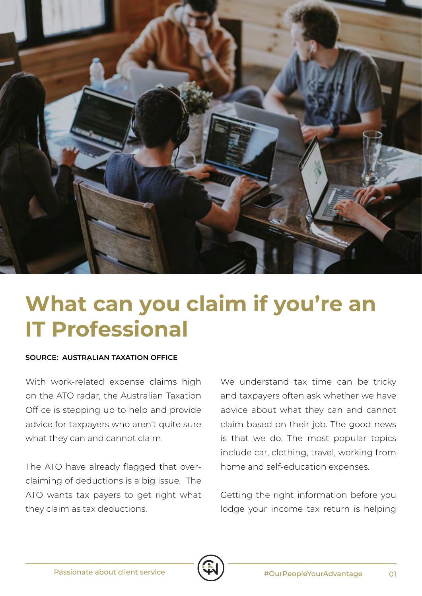

## **What can you claim if you're an IT Professional**

## **SOURCE: AUSTRALIAN TAXATION OFFICE**

With work-related expense claims high on the ATO radar, the Australian Taxation Office is stepping up to help and provide advice for taxpayers who aren't quite sure what they can and cannot claim.

The ATO have already flagged that overclaiming of deductions is a big issue. The ATO wants tax payers to get right what they claim as tax deductions.

We understand tax time can be tricky and taxpayers often ask whether we have advice about what they can and cannot claim based on their job. The good news is that we do. The most popular topics include car, clothing, travel, working from home and self-education expenses.

Getting the right information before you lodge your income tax return is helping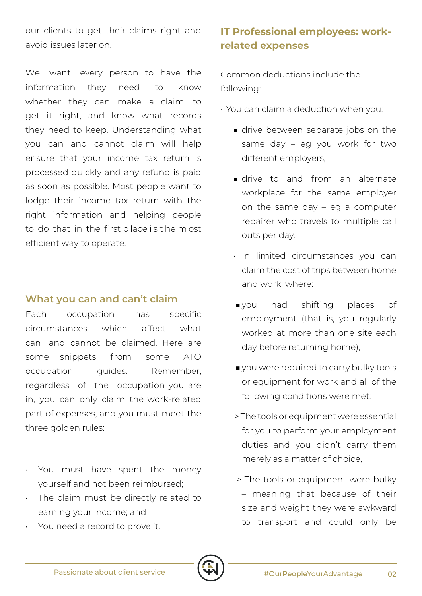our clients to get their claims right and avoid issues later on.

We want every person to have the information they need to know whether they can make a claim, to get it right, and know what records they need to keep. Understanding what you can and cannot claim will help ensure that your income tax return is processed quickly and any refund is paid as soon as possible. Most people want to lodge their income tax return with the right information and helping people to do that in the first p lace i s t he m ost efficient way to operate.

## **What you can and can't claim**

Each occupation has specific circumstances which affect what can and cannot be claimed. Here are some snippets from some ATO occupation quides. Remember, regardless of the occupation you are in, you can only claim the work-related part of expenses, and you must meet the three golden rules:

- You must have spent the money yourself and not been reimbursed;
- The claim must be directly related to earning your income; and
- You need a record to prove it.

## **IT Professional employees: workrelated expenses**

Common deductions include the following:

- You can claim a deduction when you:
	- drive between separate jobs on the same day – eg you work for two different employers,
	- drive to and from an alternate workplace for the same employer on the same day – eg a computer repairer who travels to multiple call outs per day.
	- In limited circumstances you can claim the cost of trips between home and work, where:
	- ■you had shifting places of employment (that is, you regularly worked at more than one site each day before returning home),
	- you were required to carry bulky tools or equipment for work and all of the following conditions were met:
	- > The tools or equipment were essential for you to perform your employment duties and you didn't carry them merely as a matter of choice,
	- > The tools or equipment were bulky – meaning that because of their size and weight they were awkward to transport and could only be